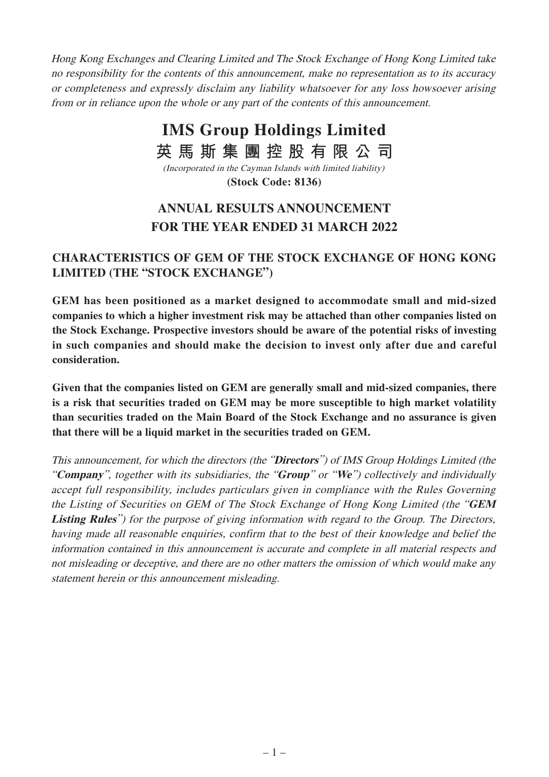Hong Kong Exchanges and Clearing Limited and The Stock Exchange of Hong Kong Limited take no responsibility for the contents of this announcement, make no representation as to its accuracy or completeness and expressly disclaim any liability whatsoever for any loss howsoever arising from or in reliance upon the whole or any part of the contents of this announcement.

# **IMS Group Holdings Limited 英馬斯集團控股有限公司**

**(Stock Code: 8136)** (Incorporated in the Cayman Islands with limited liability)

# **ANNUAL RESULTS ANNOUNCEMENT FOR THE YEAR ENDED 31 MARCH 2022**

# **CHARACTERISTICS OF GEM OF THE STOCK EXCHANGE OF HONG KONG LIMITED (THE "STOCK EXCHANGE")**

**GEM has been positioned as a market designed to accommodate small and mid-sized companies to which a higher investment risk may be attached than other companies listed on the Stock Exchange. Prospective investors should be aware of the potential risks of investing in such companies and should make the decision to invest only after due and careful consideration.**

**Given that the companies listed on GEM are generally small and mid-sized companies, there is a risk that securities traded on GEM may be more susceptible to high market volatility than securities traded on the Main Board of the Stock Exchange and no assurance is given that there will be a liquid market in the securities traded on GEM.**

This announcement, for which the directors (the "**Directors**") of IMS Group Holdings Limited (the "**Company**", together with its subsidiaries, the "**Group**" or "**We**") collectively and individually accept full responsibility, includes particulars given in compliance with the Rules Governing the Listing of Securities on GEM of The Stock Exchange of Hong Kong Limited (the "**GEM Listing Rules**") for the purpose of giving information with regard to the Group. The Directors, having made all reasonable enquiries, confirm that to the best of their knowledge and belief the information contained in this announcement is accurate and complete in all material respects and not misleading or deceptive, and there are no other matters the omission of which would make any statement herein or this announcement misleading.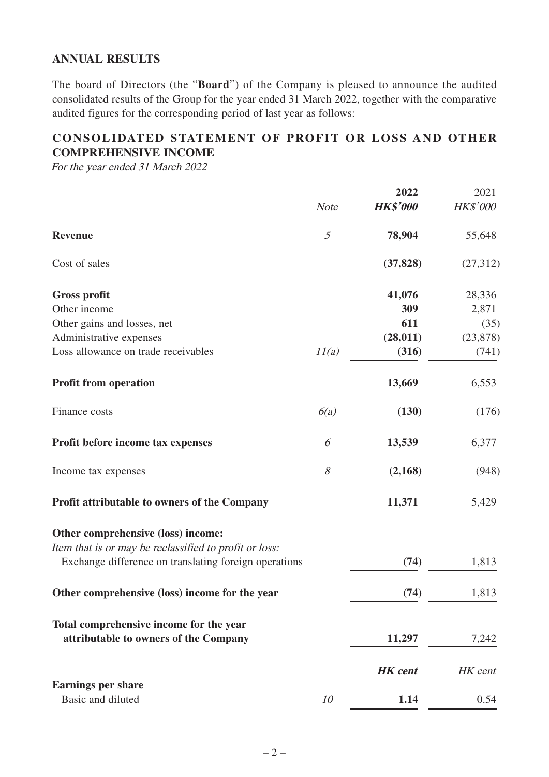### **ANNUAL RESULTS**

The board of Directors (the "**Board**") of the Company is pleased to announce the audited consolidated results of the Group for the year ended 31 March 2022, together with the comparative audited figures for the corresponding period of last year as follows:

# **CONSOLIDATED STATEMENT OF PROFIT OR LOSS AND OTHER COMPREHENSIVE INCOME**

For the year ended 31 March 2022

|                                                                                                                 |                | 2022            | 2021      |
|-----------------------------------------------------------------------------------------------------------------|----------------|-----------------|-----------|
|                                                                                                                 | <b>Note</b>    | <b>HK\$'000</b> | HK\$'000  |
| <b>Revenue</b>                                                                                                  | $\mathfrak{I}$ | 78,904          | 55,648    |
| Cost of sales                                                                                                   |                | (37, 828)       | (27,312)  |
| <b>Gross profit</b>                                                                                             |                | 41,076          | 28,336    |
| Other income                                                                                                    |                | 309             | 2,871     |
| Other gains and losses, net                                                                                     |                | 611             | (35)      |
| Administrative expenses                                                                                         |                | (28, 011)       | (23, 878) |
| Loss allowance on trade receivables                                                                             | 11(a)          | (316)           | (741)     |
| <b>Profit from operation</b>                                                                                    |                | 13,669          | 6,553     |
| Finance costs                                                                                                   | 6(a)           | (130)           | (176)     |
| Profit before income tax expenses                                                                               | 6              | 13,539          | 6,377     |
| Income tax expenses                                                                                             | $\mathcal S$   | (2,168)         | (948)     |
| <b>Profit attributable to owners of the Company</b>                                                             |                | 11,371          | 5,429     |
| Other comprehensive (loss) income:                                                                              |                |                 |           |
| Item that is or may be reclassified to profit or loss:<br>Exchange difference on translating foreign operations |                | (74)            | 1,813     |
|                                                                                                                 |                |                 |           |
| Other comprehensive (loss) income for the year                                                                  |                | (74)            | 1,813     |
| Total comprehensive income for the year                                                                         |                |                 |           |
| attributable to owners of the Company                                                                           |                | 11,297          | 7,242     |
|                                                                                                                 |                | <b>HK</b> cent  | HK cent   |
| <b>Earnings per share</b>                                                                                       |                |                 |           |
| Basic and diluted                                                                                               | 10             | 1.14            | 0.54      |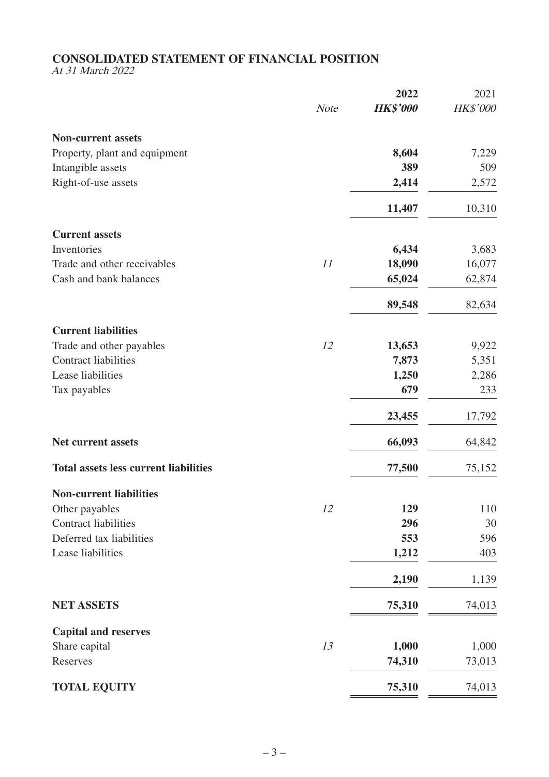#### **CONSOLIDATED STATEMENT OF FINANCIAL POSITION**

At 31 March 2022

|                                              |             | 2022            | 2021            |
|----------------------------------------------|-------------|-----------------|-----------------|
|                                              | <b>Note</b> | <b>HK\$'000</b> | <b>HK\$'000</b> |
| <b>Non-current assets</b>                    |             |                 |                 |
| Property, plant and equipment                |             | 8,604           | 7,229           |
| Intangible assets                            |             | 389             | 509             |
| Right-of-use assets                          |             | 2,414           | 2,572           |
|                                              |             | 11,407          | 10,310          |
| <b>Current assets</b>                        |             |                 |                 |
| Inventories                                  |             | 6,434           | 3,683           |
| Trade and other receivables                  | 11          | 18,090          | 16,077          |
| Cash and bank balances                       |             | 65,024          | 62,874          |
|                                              |             | 89,548          | 82,634          |
| <b>Current liabilities</b>                   |             |                 |                 |
| Trade and other payables                     | 12          | 13,653          | 9,922           |
| <b>Contract liabilities</b>                  |             | 7,873           | 5,351           |
| Lease liabilities                            |             | 1,250           | 2,286           |
| Tax payables                                 |             | 679             | 233             |
|                                              |             | 23,455          | 17,792          |
| <b>Net current assets</b>                    |             | 66,093          | 64,842          |
| <b>Total assets less current liabilities</b> |             | 77,500          | 75,152          |
| <b>Non-current liabilities</b>               |             |                 |                 |
| Other payables                               | 12          | 129             | 110             |
| <b>Contract liabilities</b>                  |             | 296             | 30              |
| Deferred tax liabilities                     |             | 553             | 596             |
| Lease liabilities                            |             | 1,212           | 403             |
|                                              |             | 2,190           | 1,139           |
| <b>NET ASSETS</b>                            |             | 75,310          | 74,013          |
| <b>Capital and reserves</b>                  |             |                 |                 |
| Share capital                                | 13          | 1,000           | 1,000           |
| Reserves                                     |             | 74,310          | 73,013          |
| <b>TOTAL EQUITY</b>                          |             | 75,310          | 74,013          |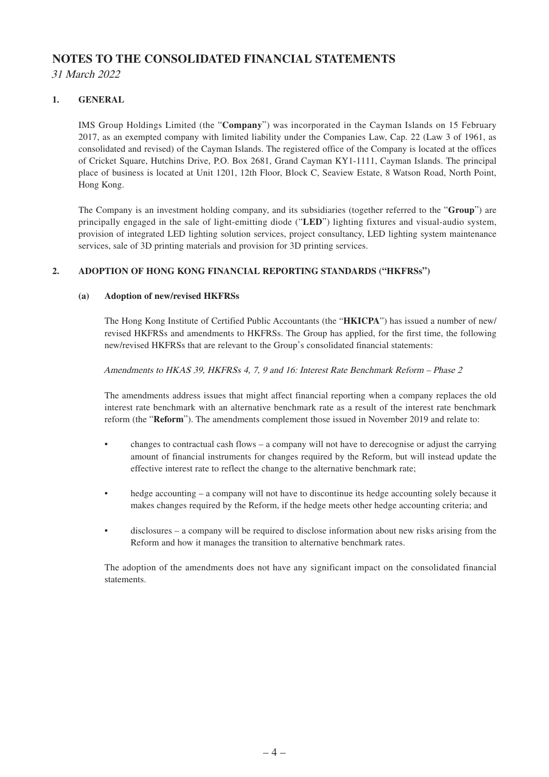## **NOTES TO THE CONSOLIDATED FINANCIAL STATEMENTS**

31 March 2022

#### **1. GENERAL**

IMS Group Holdings Limited (the "**Company**") was incorporated in the Cayman Islands on 15 February 2017, as an exempted company with limited liability under the Companies Law, Cap. 22 (Law 3 of 1961, as consolidated and revised) of the Cayman Islands. The registered office of the Company is located at the offices of Cricket Square, Hutchins Drive, P.O. Box 2681, Grand Cayman KY1-1111, Cayman Islands. The principal place of business is located at Unit 1201, 12th Floor, Block C, Seaview Estate, 8 Watson Road, North Point, Hong Kong.

The Company is an investment holding company, and its subsidiaries (together referred to the "**Group**") are principally engaged in the sale of light-emitting diode ("**LED**") lighting fixtures and visual-audio system, provision of integrated LED lighting solution services, project consultancy, LED lighting system maintenance services, sale of 3D printing materials and provision for 3D printing services.

#### **2. ADOPTION OF HONG KONG FINANCIAL REPORTING STANDARDS ("HKFRSs")**

#### **(a) Adoption of new/revised HKFRSs**

The Hong Kong Institute of Certified Public Accountants (the "**HKICPA**") has issued a number of new/ revised HKFRSs and amendments to HKFRSs. The Group has applied, for the first time, the following new/revised HKFRSs that are relevant to the Group's consolidated financial statements:

Amendments to HKAS 39, HKFRSs 4, 7, 9 and 16: Interest Rate Benchmark Reform – Phase 2

The amendments address issues that might affect financial reporting when a company replaces the old interest rate benchmark with an alternative benchmark rate as a result of the interest rate benchmark reform (the "**Reform**"). The amendments complement those issued in November 2019 and relate to:

- changes to contractual cash flows a company will not have to derecognise or adjust the carrying amount of financial instruments for changes required by the Reform, but will instead update the effective interest rate to reflect the change to the alternative benchmark rate;
- hedge accounting a company will not have to discontinue its hedge accounting solely because it makes changes required by the Reform, if the hedge meets other hedge accounting criteria; and
- disclosures a company will be required to disclose information about new risks arising from the Reform and how it manages the transition to alternative benchmark rates.

The adoption of the amendments does not have any significant impact on the consolidated financial statements.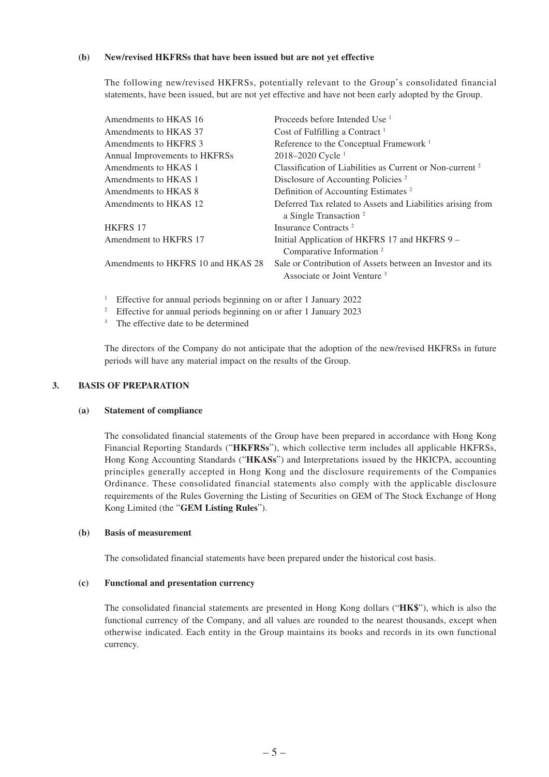#### **(b) New/revised HKFRSs that have been issued but are not yet effective**

The following new/revised HKFRSs, potentially relevant to the Group's consolidated financial statements, have been issued, but are not yet effective and have not been early adopted by the Group.

| Amendments to HKAS 16              | Proceeds before Intended Use <sup>1</sup>                                                             |
|------------------------------------|-------------------------------------------------------------------------------------------------------|
| Amendments to HKAS 37              | Cost of Fulfilling a Contract $1$                                                                     |
| Amendments to HKFRS 3              | Reference to the Conceptual Framework <sup>1</sup>                                                    |
| Annual Improvements to HKFRSs      | 2018-2020 Cycle <sup>1</sup>                                                                          |
| Amendments to HKAS 1               | Classification of Liabilities as Current or Non-current <sup>2</sup>                                  |
| Amendments to HKAS 1               | Disclosure of Accounting Policies <sup>2</sup>                                                        |
| Amendments to HKAS 8               | Definition of Accounting Estimates <sup>2</sup>                                                       |
| Amendments to HKAS 12              | Deferred Tax related to Assets and Liabilities arising from<br>a Single Transaction <sup>2</sup>      |
| <b>HKFRS 17</b>                    | Insurance Contracts <sup>2</sup>                                                                      |
| Amendment to HKFRS 17              | Initial Application of HKFRS 17 and HKFRS 9 -<br>Comparative Information <sup>2</sup>                 |
| Amendments to HKFRS 10 and HKAS 28 | Sale or Contribution of Assets between an Investor and its<br>Associate or Joint Venture <sup>3</sup> |

<sup>1</sup> Effective for annual periods beginning on or after 1 January 2022

<sup>2</sup> Effective for annual periods beginning on or after 1 January 2023

<sup>3</sup> The effective date to be determined

The directors of the Company do not anticipate that the adoption of the new/revised HKFRSs in future periods will have any material impact on the results of the Group.

#### **3. BASIS OF PREPARATION**

#### **(a) Statement of compliance**

The consolidated financial statements of the Group have been prepared in accordance with Hong Kong Financial Reporting Standards ("**HKFRSs**"), which collective term includes all applicable HKFRSs, Hong Kong Accounting Standards ("**HKASs**") and Interpretations issued by the HKICPA, accounting principles generally accepted in Hong Kong and the disclosure requirements of the Companies Ordinance. These consolidated financial statements also comply with the applicable disclosure requirements of the Rules Governing the Listing of Securities on GEM of The Stock Exchange of Hong Kong Limited (the "**GEM Listing Rules**").

#### **(b) Basis of measurement**

The consolidated financial statements have been prepared under the historical cost basis.

#### **(c) Functional and presentation currency**

The consolidated financial statements are presented in Hong Kong dollars ("**HK\$**"), which is also the functional currency of the Company, and all values are rounded to the nearest thousands, except when otherwise indicated. Each entity in the Group maintains its books and records in its own functional currency.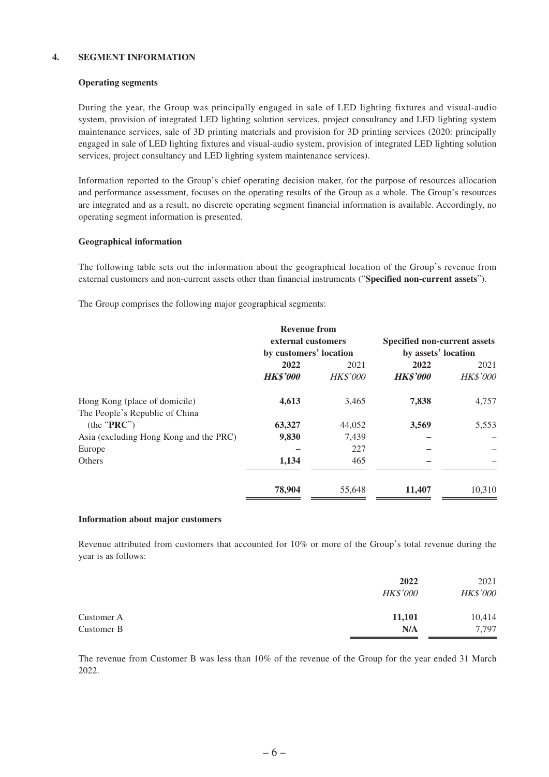#### **4. SEGMENT INFORMATION**

#### **Operating segments**

During the year, the Group was principally engaged in sale of LED lighting fixtures and visual-audio system, provision of integrated LED lighting solution services, project consultancy and LED lighting system maintenance services, sale of 3D printing materials and provision for 3D printing services (2020: principally engaged in sale of LED lighting fixtures and visual-audio system, provision of integrated LED lighting solution services, project consultancy and LED lighting system maintenance services).

Information reported to the Group's chief operating decision maker, for the purpose of resources allocation and performance assessment, focuses on the operating results of the Group as a whole. The Group's resources are integrated and as a result, no discrete operating segment financial information is available. Accordingly, no operating segment information is presented.

#### **Geographical information**

The following table sets out the information about the geographical location of the Group's revenue from external customers and non-current assets other than financial instruments ("**Specified non-current assets**").

The Group comprises the following major geographical segments:

|                                        | <b>Revenue from</b><br>external customers |                 | <b>Specified non-current assets</b> |                 |
|----------------------------------------|-------------------------------------------|-----------------|-------------------------------------|-----------------|
|                                        | by customers' location                    |                 | by assets' location                 |                 |
|                                        | 2022                                      | 2021            | 2022                                | 2021            |
|                                        | <b>HK\$'000</b>                           | <b>HK\$'000</b> | <b>HK\$'000</b>                     | <b>HK\$'000</b> |
| Hong Kong (place of domicile)          | 4,613                                     | 3,465           | 7,838                               | 4,757           |
| The People's Republic of China         |                                           |                 |                                     |                 |
| (the "PRC")                            | 63,327                                    | 44,052          | 3,569                               | 5,553           |
| Asia (excluding Hong Kong and the PRC) | 9,830                                     | 7,439           |                                     |                 |
| Europe                                 |                                           | 227             |                                     |                 |
| Others                                 | 1,134                                     | 465             |                                     |                 |
|                                        | 78,904                                    | 55,648          | 11,407                              | 10,310          |

#### **Information about major customers**

Revenue attributed from customers that accounted for 10% or more of the Group's total revenue during the year is as follows:

|            | 2022<br><b>HK\$'000</b> | 2021<br>HK\$'000 |
|------------|-------------------------|------------------|
| Customer A | 11,101                  | 10,414           |
| Customer B | N/A                     | 7,797            |

The revenue from Customer B was less than 10% of the revenue of the Group for the year ended 31 March 2022.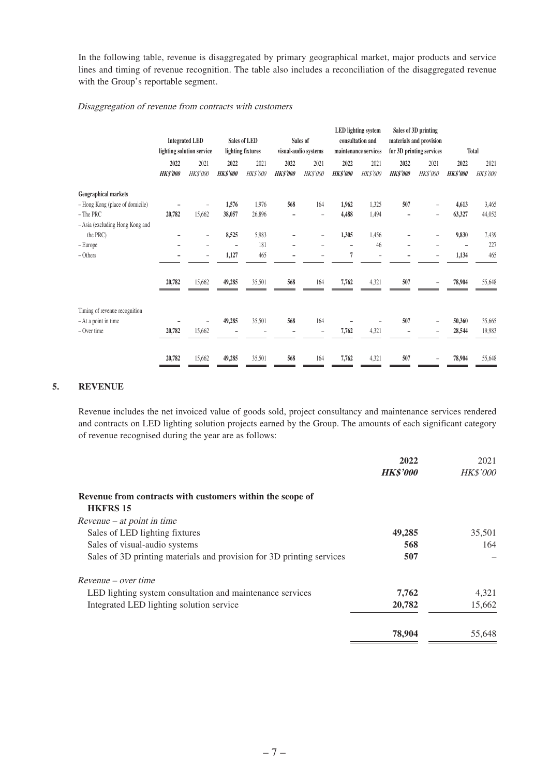In the following table, revenue is disaggregated by primary geographical market, major products and service lines and timing of revenue recognition. The table also includes a reconciliation of the disaggregated revenue with the Group's reportable segment.

#### Disaggregation of revenue from contracts with customers

|                                 |                 | <b>Integrated LED</b><br>lighting solution service |                 | Sales of LED<br>lighting fixtures |                 | Sales of<br>visual-audio systems |                 | <b>LED</b> lighting system<br>consultation and<br>maintenance services |                 | Sales of 3D printing<br>materials and provision<br>for 3D printing services |                 | Total    |
|---------------------------------|-----------------|----------------------------------------------------|-----------------|-----------------------------------|-----------------|----------------------------------|-----------------|------------------------------------------------------------------------|-----------------|-----------------------------------------------------------------------------|-----------------|----------|
|                                 | 2022            | 2021                                               | 2022            | 2021                              | 2022            | 2021                             | 2022            | 2021                                                                   | 2022            | 2021                                                                        | 2022            | 2021     |
|                                 | <b>HK\$'000</b> | <b>HK\$'000</b>                                    | <b>HK\$'000</b> | <b>HK\$'000</b>                   | <b>HK\$'000</b> | HK\$'000                         | <b>HK\$'000</b> | <b>HK\$'000</b>                                                        | <b>HK\$'000</b> | <b>HK\$'000</b>                                                             | <b>HK\$'000</b> | HK\$'000 |
| <b>Geographical markets</b>     |                 |                                                    |                 |                                   |                 |                                  |                 |                                                                        |                 |                                                                             |                 |          |
| - Hong Kong (place of domicile) |                 |                                                    | 1,576           | 1,976                             | 568             | 164                              | 1,962           | 1,325                                                                  | 507             | -                                                                           | 4,613           | 3,465    |
| - The PRC                       | 20,782          | 15,662                                             | 38,057          | 26,896                            |                 | $\overline{a}$                   | 4,488           | 1,494                                                                  |                 | $\overline{\phantom{0}}$                                                    | 63,327          | 44,052   |
| - Asia (excluding Hong Kong and |                 |                                                    |                 |                                   |                 |                                  |                 |                                                                        |                 |                                                                             |                 |          |
| the PRC)                        |                 | $\overline{\phantom{0}}$                           | 8,525           | 5,983                             | -               | $\qquad \qquad -$                | 1,305           | 1,456                                                                  |                 | -                                                                           | 9,830           | 7,439    |
| - Europe                        |                 |                                                    |                 | 181                               |                 |                                  | ۰               | 46                                                                     |                 |                                                                             |                 | 227      |
| - Others                        |                 | $\overline{\phantom{0}}$                           | 1,127           | 465                               |                 |                                  | 7               | $\overline{\phantom{0}}$                                               |                 | -                                                                           | 1,134           | 465      |
|                                 | 20,782          | 15,662                                             | 49,285          | 35,501                            | 568             | 164                              | 7,762           | 4,321                                                                  | 507             |                                                                             | 78,904          | 55,648   |
|                                 |                 |                                                    |                 |                                   |                 |                                  |                 |                                                                        |                 |                                                                             |                 |          |
| Timing of revenue recognition   |                 |                                                    |                 |                                   |                 |                                  |                 |                                                                        |                 |                                                                             |                 |          |
| - At a point in time            |                 |                                                    | 49,285          | 35,501                            | 568             | 164                              |                 |                                                                        | 507             | $\overline{\phantom{0}}$                                                    | 50,360          | 35,665   |
| - Over time                     | 20,782          | 15,662                                             |                 |                                   |                 | $\qquad \qquad -$                | 7,762           | 4,321                                                                  |                 | -                                                                           | 28,544          | 19,983   |
|                                 | 20,782          | 15,662                                             | 49,285          | 35,501                            | 568             | 164                              | 7,762           | 4,321                                                                  | 507             |                                                                             | 78,904          | 55,648   |

#### **5. REVENUE**

Revenue includes the net invoiced value of goods sold, project consultancy and maintenance services rendered and contracts on LED lighting solution projects earned by the Group. The amounts of each significant category of revenue recognised during the year are as follows:

|                                                                              | 2022            | 2021            |
|------------------------------------------------------------------------------|-----------------|-----------------|
|                                                                              | <b>HK\$'000</b> | <b>HK\$'000</b> |
| Revenue from contracts with customers within the scope of<br><b>HKFRS 15</b> |                 |                 |
| $Revenue - at point in time$                                                 |                 |                 |
| Sales of LED lighting fixtures                                               | 49,285          | 35,501          |
| Sales of visual-audio systems                                                | 568             | 164             |
| Sales of 3D printing materials and provision for 3D printing services        | 507             |                 |
| $Revenue - over time$                                                        |                 |                 |
| LED lighting system consultation and maintenance services                    | 7,762           | 4,321           |
| Integrated LED lighting solution service                                     | 20,782          | 15,662          |
|                                                                              | 78,904          | 55,648          |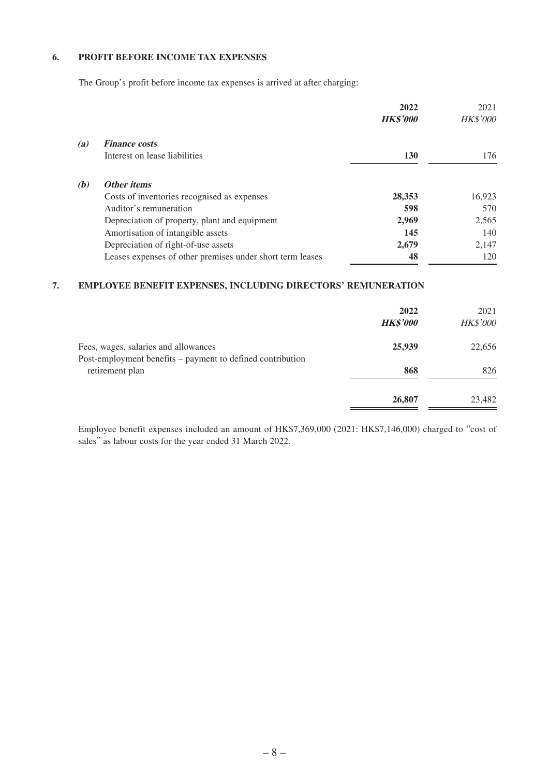#### **6. PROFIT BEFORE INCOME TAX EXPENSES**

The Group's profit before income tax expenses is arrived at after charging:

|     |                                                           | 2022<br><b>HK\$'000</b> | 2021<br><b>HK\$'000</b> |
|-----|-----------------------------------------------------------|-------------------------|-------------------------|
| (a) | <b>Finance costs</b>                                      |                         |                         |
|     | Interest on lease liabilities                             | 130                     | 176                     |
| (b) | <b>Other items</b>                                        |                         |                         |
|     | Costs of inventories recognised as expenses               | 28,353                  | 16,923                  |
|     | Auditor's remuneration                                    | 598                     | 570                     |
|     | Depreciation of property, plant and equipment             | 2,969                   | 2,565                   |
|     | Amortisation of intangible assets                         | 145                     | 140                     |
|     | Depreciation of right-of-use assets                       | 2,679                   | 2,147                   |
|     | Leases expenses of other premises under short term leases | 48                      | 120                     |

#### **7. EMPLOYEE BENEFIT EXPENSES, INCLUDING DIRECTORS' REMUNERATION**

|                                                                                                    | 2022<br><b>HK\$'000</b> | 2021<br><b>HK\$'000</b> |
|----------------------------------------------------------------------------------------------------|-------------------------|-------------------------|
| Fees, wages, salaries and allowances<br>Post-employment benefits – payment to defined contribution | 25,939                  | 22,656                  |
| retirement plan                                                                                    | 868                     | 826                     |
|                                                                                                    | 26,807                  | 23,482                  |

Employee benefit expenses included an amount of HK\$7,369,000 (2021: HK\$7,146,000) charged to "cost of sales" as labour costs for the year ended 31 March 2022.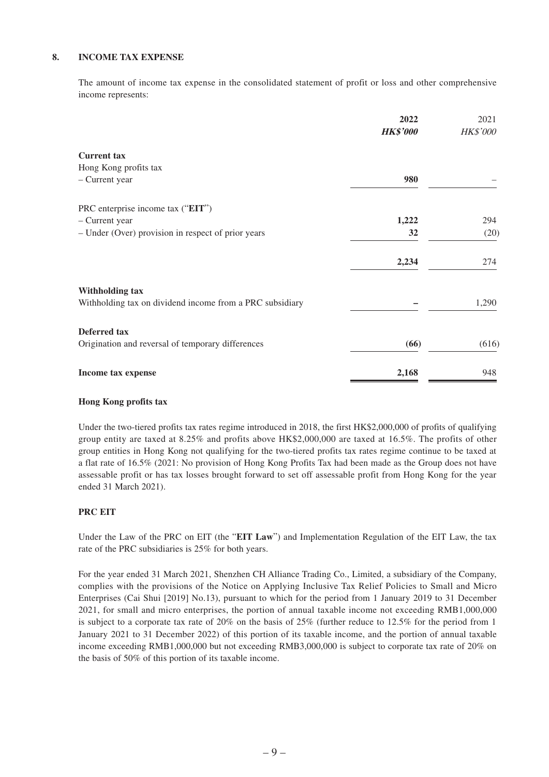#### **8. INCOME TAX EXPENSE**

The amount of income tax expense in the consolidated statement of profit or loss and other comprehensive income represents:

|                                                          | 2022<br><b>HK\$'000</b> | 2021<br><b>HK\$'000</b> |
|----------------------------------------------------------|-------------------------|-------------------------|
| <b>Current</b> tax                                       |                         |                         |
| Hong Kong profits tax                                    |                         |                         |
| - Current year                                           | 980                     |                         |
| PRC enterprise income tax ("EIT")                        |                         |                         |
| - Current year                                           | 1,222                   | 294                     |
| - Under (Over) provision in respect of prior years       | 32                      | (20)                    |
|                                                          | 2,234                   | 274                     |
| <b>Withholding tax</b>                                   |                         |                         |
| Withholding tax on dividend income from a PRC subsidiary |                         | 1,290                   |
| <b>Deferred</b> tax                                      |                         |                         |
| Origination and reversal of temporary differences        | (66)                    | (616)                   |
| Income tax expense                                       | 2,168                   | 948                     |

#### **Hong Kong profits tax**

Under the two-tiered profits tax rates regime introduced in 2018, the first HK\$2,000,000 of profits of qualifying group entity are taxed at 8.25% and profits above HK\$2,000,000 are taxed at 16.5%. The profits of other group entities in Hong Kong not qualifying for the two-tiered profits tax rates regime continue to be taxed at a flat rate of 16.5% (2021: No provision of Hong Kong Profits Tax had been made as the Group does not have assessable profit or has tax losses brought forward to set off assessable profit from Hong Kong for the year ended 31 March 2021).

#### **PRC EIT**

Under the Law of the PRC on EIT (the "**EIT Law**") and Implementation Regulation of the EIT Law, the tax rate of the PRC subsidiaries is 25% for both years.

For the year ended 31 March 2021, Shenzhen CH Alliance Trading Co., Limited, a subsidiary of the Company, complies with the provisions of the Notice on Applying Inclusive Tax Relief Policies to Small and Micro Enterprises (Cai Shui [2019] No.13), pursuant to which for the period from 1 January 2019 to 31 December 2021, for small and micro enterprises, the portion of annual taxable income not exceeding RMB1,000,000 is subject to a corporate tax rate of 20% on the basis of 25% (further reduce to 12.5% for the period from 1 January 2021 to 31 December 2022) of this portion of its taxable income, and the portion of annual taxable income exceeding RMB1,000,000 but not exceeding RMB3,000,000 is subject to corporate tax rate of 20% on the basis of 50% of this portion of its taxable income.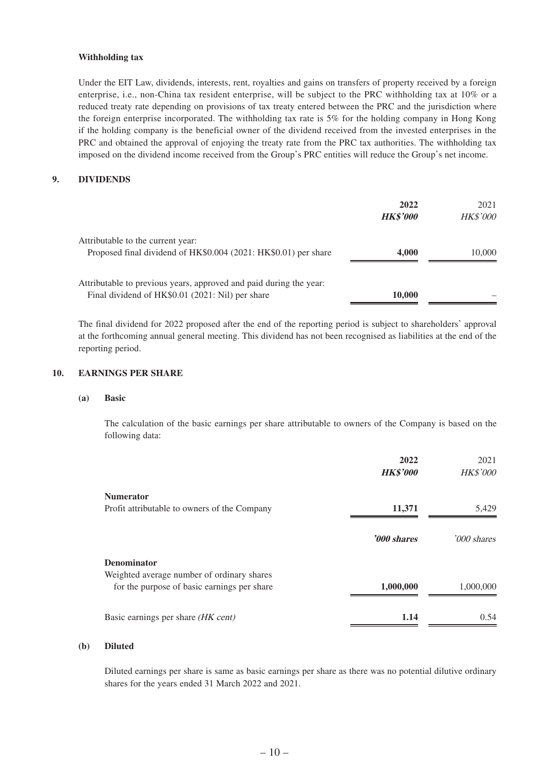#### **Withholding tax**

Under the EIT Law, dividends, interests, rent, royalties and gains on transfers of property received by a foreign enterprise, i.e., non-China tax resident enterprise, will be subject to the PRC withholding tax at 10% or a reduced treaty rate depending on provisions of tax treaty entered between the PRC and the jurisdiction where the foreign enterprise incorporated. The withholding tax rate is 5% for the holding company in Hong Kong if the holding company is the beneficial owner of the dividend received from the invested enterprises in the PRC and obtained the approval of enjoying the treaty rate from the PRC tax authorities. The withholding tax imposed on the dividend income received from the Group's PRC entities will reduce the Group's net income.

#### **9. DIVIDENDS**

|                                                                                                                        | 2022<br><b>HK\$'000</b> | 2021<br><b>HK\$'000</b> |
|------------------------------------------------------------------------------------------------------------------------|-------------------------|-------------------------|
| Attributable to the current year:<br>Proposed final dividend of HK\$0.004 (2021: HK\$0.01) per share                   | 4,000                   | 10,000                  |
| Attributable to previous years, approved and paid during the year:<br>Final dividend of HK\$0.01 (2021: Nil) per share | 10,000                  |                         |

The final dividend for 2022 proposed after the end of the reporting period is subject to shareholders' approval at the forthcoming annual general meeting. This dividend has not been recognised as liabilities at the end of the reporting period.

#### **10. EARNINGS PER SHARE**

#### **(a) Basic**

The calculation of the basic earnings per share attributable to owners of the Company is based on the following data:

|                                                                                           | 2022<br><b>HK\$'000</b> | 2021<br>HK\$'000 |
|-------------------------------------------------------------------------------------------|-------------------------|------------------|
| <b>Numerator</b>                                                                          |                         |                  |
| Profit attributable to owners of the Company                                              | 11,371                  | 5,429            |
|                                                                                           | '000 shares             | '000 shares      |
| <b>Denominator</b>                                                                        |                         |                  |
| Weighted average number of ordinary shares<br>for the purpose of basic earnings per share | 1,000,000               | 1,000,000        |
| Basic earnings per share (HK cent)                                                        | 1.14                    | 0.54             |

#### **(b) Diluted**

Diluted earnings per share is same as basic earnings per share as there was no potential dilutive ordinary shares for the years ended 31 March 2022 and 2021.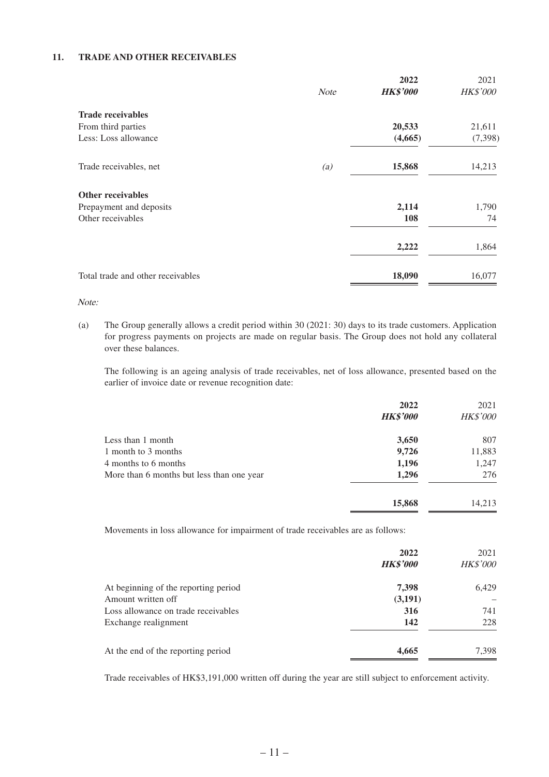#### **11. TRADE AND OTHER RECEIVABLES**

|                                   |                   | 2022            | 2021            |
|-----------------------------------|-------------------|-----------------|-----------------|
|                                   | <b>Note</b>       | <b>HK\$'000</b> | <b>HK\$'000</b> |
| <b>Trade receivables</b>          |                   |                 |                 |
| From third parties                |                   | 20,533          | 21,611          |
| Less: Loss allowance              |                   | (4,665)         | (7, 398)        |
| Trade receivables, net            | $\left( a\right)$ | 15,868          | 14,213          |
| <b>Other receivables</b>          |                   |                 |                 |
| Prepayment and deposits           |                   | 2,114           | 1,790           |
| Other receivables                 |                   | 108             | 74              |
|                                   |                   | 2,222           | 1,864           |
| Total trade and other receivables |                   | 18,090          | 16,077          |

Note:

(a) The Group generally allows a credit period within 30 (2021: 30) days to its trade customers. Application for progress payments on projects are made on regular basis. The Group does not hold any collateral over these balances.

The following is an ageing analysis of trade receivables, net of loss allowance, presented based on the earlier of invoice date or revenue recognition date:

|                                           | 2022<br><b>HK\$'000</b> | 2021<br><b>HK\$'000</b> |
|-------------------------------------------|-------------------------|-------------------------|
| Less than 1 month                         | 3,650                   | 807                     |
| 1 month to 3 months                       | 9,726                   | 11,883                  |
| 4 months to 6 months                      | 1,196                   | 1,247                   |
| More than 6 months but less than one year | 1,296                   | 276                     |
|                                           | 15,868                  | 14,213                  |

Movements in loss allowance for impairment of trade receivables are as follows:

|                                      | 2022<br><b>HK\$'000</b> | 2021<br><b>HK\$'000</b> |
|--------------------------------------|-------------------------|-------------------------|
| At beginning of the reporting period | 7,398                   | 6,429                   |
| Amount written off                   | (3,191)                 |                         |
| Loss allowance on trade receivables  | 316                     | 741                     |
| Exchange realignment                 | 142                     | 228                     |
| At the end of the reporting period   | 4,665                   | 7,398                   |

Trade receivables of HK\$3,191,000 written off during the year are still subject to enforcement activity.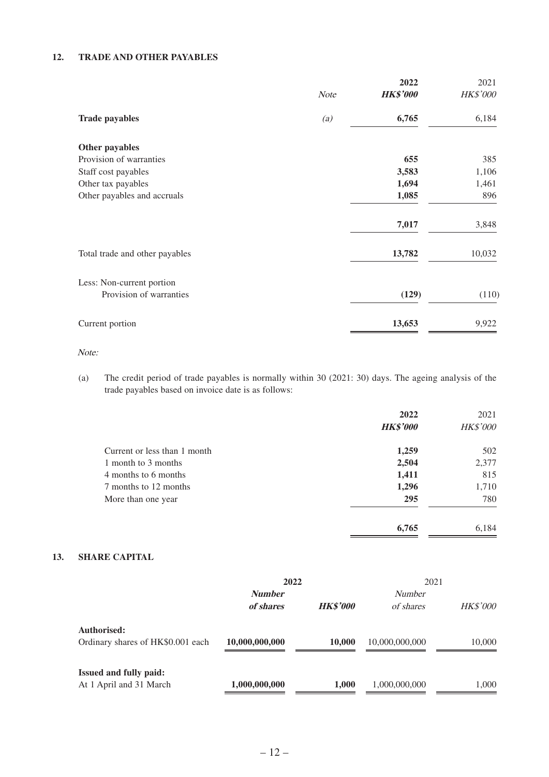#### **12. TRADE AND OTHER PAYABLES**

|                                                      | <b>Note</b> | 2022<br><b>HK\$'000</b> | 2021<br><b>HK\$'000</b> |
|------------------------------------------------------|-------------|-------------------------|-------------------------|
|                                                      |             |                         |                         |
| <b>Trade payables</b>                                | (a)         | 6,765                   | 6,184                   |
| Other payables                                       |             |                         |                         |
| Provision of warranties                              |             | 655                     | 385                     |
| Staff cost payables                                  |             | 3,583                   | 1,106                   |
| Other tax payables                                   |             | 1,694                   | 1,461                   |
| Other payables and accruals                          |             | 1,085                   | 896                     |
|                                                      |             | 7,017                   | 3,848                   |
| Total trade and other payables                       |             | 13,782                  | 10,032                  |
| Less: Non-current portion<br>Provision of warranties |             | (129)                   | (110)                   |
|                                                      |             |                         |                         |
| Current portion                                      |             | 13,653                  | 9,922                   |

Note:

(a) The credit period of trade payables is normally within 30 (2021: 30) days. The ageing analysis of the trade payables based on invoice date is as follows:

|                              | 2022<br><b>HK\$'000</b> | 2021<br><b>HK\$'000</b> |
|------------------------------|-------------------------|-------------------------|
| Current or less than 1 month | 1,259                   | 502                     |
| 1 month to 3 months          | 2,504                   | 2,377                   |
| 4 months to 6 months         | 1,411                   | 815                     |
| 7 months to 12 months        | 1,296                   | 1,710                   |
| More than one year           | 295                     | 780                     |
|                              | 6,765                   | 6,184                   |

#### **13. SHARE CAPITAL**

|                                                          | 2022                       |                 | 2021                       |                 |  |
|----------------------------------------------------------|----------------------------|-----------------|----------------------------|-----------------|--|
|                                                          | <b>Number</b><br>of shares | <b>HK\$'000</b> | <b>Number</b><br>of shares | <b>HK\$'000</b> |  |
| Authorised:<br>Ordinary shares of HK\$0.001 each         | 10,000,000,000             | 10,000          | 10,000,000,000             | 10,000          |  |
| <b>Issued and fully paid:</b><br>At 1 April and 31 March | 1,000,000,000              | 1,000           | 1,000,000,000              | 1.000           |  |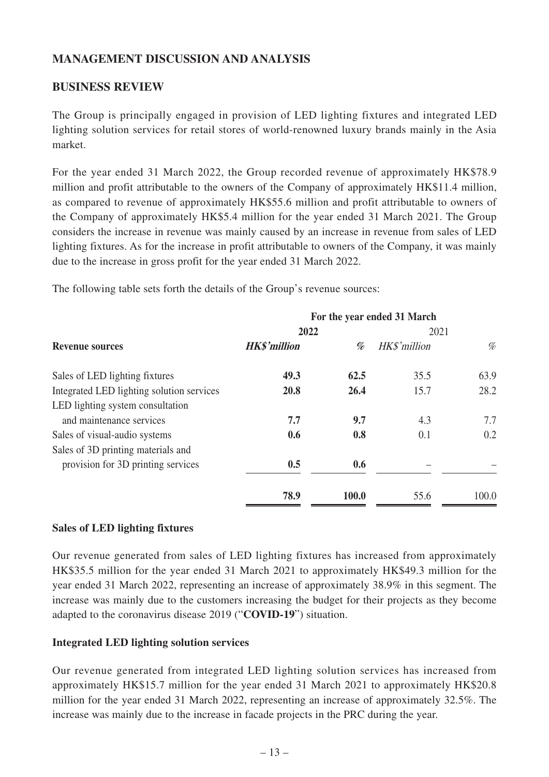# **MANAGEMENT DISCUSSION AND ANALYSIS**

## **BUSINESS REVIEW**

The Group is principally engaged in provision of LED lighting fixtures and integrated LED lighting solution services for retail stores of world-renowned luxury brands mainly in the Asia market.

For the year ended 31 March 2022, the Group recorded revenue of approximately HK\$78.9 million and profit attributable to the owners of the Company of approximately HK\$11.4 million, as compared to revenue of approximately HK\$55.6 million and profit attributable to owners of the Company of approximately HK\$5.4 million for the year ended 31 March 2021. The Group considers the increase in revenue was mainly caused by an increase in revenue from sales of LED lighting fixtures. As for the increase in profit attributable to owners of the Company, it was mainly due to the increase in gross profit for the year ended 31 March 2022.

The following table sets forth the details of the Group's revenue sources:

|                                           | For the year ended 31 March |       |              |       |  |
|-------------------------------------------|-----------------------------|-------|--------------|-------|--|
|                                           | 2022                        |       | 2021         |       |  |
| <b>Revenue sources</b>                    | <b>HK\$'million</b>         | %     | HK\$'million | %     |  |
| Sales of LED lighting fixtures            | 49.3                        | 62.5  | 35.5         | 63.9  |  |
| Integrated LED lighting solution services | 20.8                        | 26.4  | 15.7         | 28.2  |  |
| LED lighting system consultation          |                             |       |              |       |  |
| and maintenance services                  | 7.7                         | 9.7   | 4.3          | 7.7   |  |
| Sales of visual-audio systems             | 0.6                         | 0.8   | 0.1          | 0.2   |  |
| Sales of 3D printing materials and        |                             |       |              |       |  |
| provision for 3D printing services        | 0.5                         | 0.6   |              |       |  |
|                                           | 78.9                        | 100.0 | 55.6         | 100.0 |  |

### **Sales of LED lighting fixtures**

Our revenue generated from sales of LED lighting fixtures has increased from approximately HK\$35.5 million for the year ended 31 March 2021 to approximately HK\$49.3 million for the year ended 31 March 2022, representing an increase of approximately 38.9% in this segment. The increase was mainly due to the customers increasing the budget for their projects as they become adapted to the coronavirus disease 2019 ("**COVID-19**") situation.

### **Integrated LED lighting solution services**

Our revenue generated from integrated LED lighting solution services has increased from approximately HK\$15.7 million for the year ended 31 March 2021 to approximately HK\$20.8 million for the year ended 31 March 2022, representing an increase of approximately 32.5%. The increase was mainly due to the increase in facade projects in the PRC during the year.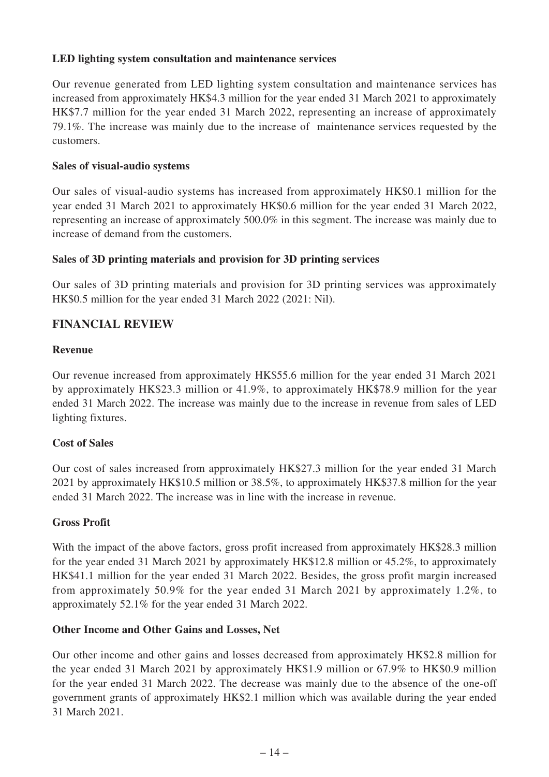### **LED lighting system consultation and maintenance services**

Our revenue generated from LED lighting system consultation and maintenance services has increased from approximately HK\$4.3 million for the year ended 31 March 2021 to approximately HK\$7.7 million for the year ended 31 March 2022, representing an increase of approximately 79.1%. The increase was mainly due to the increase of maintenance services requested by the customers.

### **Sales of visual-audio systems**

Our sales of visual-audio systems has increased from approximately HK\$0.1 million for the year ended 31 March 2021 to approximately HK\$0.6 million for the year ended 31 March 2022, representing an increase of approximately 500.0% in this segment. The increase was mainly due to increase of demand from the customers.

### **Sales of 3D printing materials and provision for 3D printing services**

Our sales of 3D printing materials and provision for 3D printing services was approximately HK\$0.5 million for the year ended 31 March 2022 (2021: Nil).

### **FINANCIAL REVIEW**

### **Revenue**

Our revenue increased from approximately HK\$55.6 million for the year ended 31 March 2021 by approximately HK\$23.3 million or 41.9%, to approximately HK\$78.9 million for the year ended 31 March 2022. The increase was mainly due to the increase in revenue from sales of LED lighting fixtures.

### **Cost of Sales**

Our cost of sales increased from approximately HK\$27.3 million for the year ended 31 March 2021 by approximately HK\$10.5 million or 38.5%, to approximately HK\$37.8 million for the year ended 31 March 2022. The increase was in line with the increase in revenue.

### **Gross Profit**

With the impact of the above factors, gross profit increased from approximately HK\$28.3 million for the year ended 31 March 2021 by approximately HK\$12.8 million or 45.2%, to approximately HK\$41.1 million for the year ended 31 March 2022. Besides, the gross profit margin increased from approximately 50.9% for the year ended 31 March 2021 by approximately 1.2%, to approximately 52.1% for the year ended 31 March 2022.

### **Other Income and Other Gains and Losses, Net**

Our other income and other gains and losses decreased from approximately HK\$2.8 million for the year ended 31 March 2021 by approximately HK\$1.9 million or 67.9% to HK\$0.9 million for the year ended 31 March 2022. The decrease was mainly due to the absence of the one-off government grants of approximately HK\$2.1 million which was available during the year ended 31 March 2021.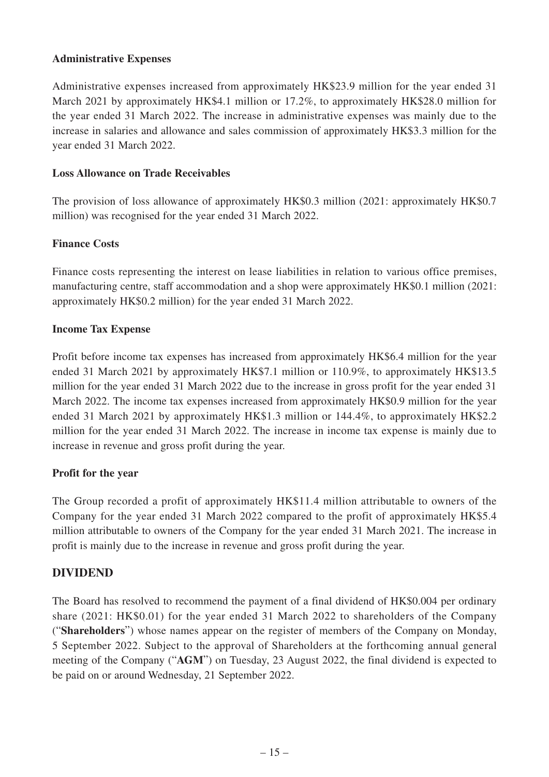### **Administrative Expenses**

Administrative expenses increased from approximately HK\$23.9 million for the year ended 31 March 2021 by approximately HK\$4.1 million or 17.2%, to approximately HK\$28.0 million for the year ended 31 March 2022. The increase in administrative expenses was mainly due to the increase in salaries and allowance and sales commission of approximately HK\$3.3 million for the year ended 31 March 2022.

### **Loss Allowance on Trade Receivables**

The provision of loss allowance of approximately HK\$0.3 million (2021: approximately HK\$0.7 million) was recognised for the year ended 31 March 2022.

### **Finance Costs**

Finance costs representing the interest on lease liabilities in relation to various office premises, manufacturing centre, staff accommodation and a shop were approximately HK\$0.1 million (2021: approximately HK\$0.2 million) for the year ended 31 March 2022.

### **Income Tax Expense**

Profit before income tax expenses has increased from approximately HK\$6.4 million for the year ended 31 March 2021 by approximately HK\$7.1 million or 110.9%, to approximately HK\$13.5 million for the year ended 31 March 2022 due to the increase in gross profit for the year ended 31 March 2022. The income tax expenses increased from approximately HK\$0.9 million for the year ended 31 March 2021 by approximately HK\$1.3 million or 144.4%, to approximately HK\$2.2 million for the year ended 31 March 2022. The increase in income tax expense is mainly due to increase in revenue and gross profit during the year.

### **Profit for the year**

The Group recorded a profit of approximately HK\$11.4 million attributable to owners of the Company for the year ended 31 March 2022 compared to the profit of approximately HK\$5.4 million attributable to owners of the Company for the year ended 31 March 2021. The increase in profit is mainly due to the increase in revenue and gross profit during the year.

### **DIVIDEND**

The Board has resolved to recommend the payment of a final dividend of HK\$0.004 per ordinary share (2021: HK\$0.01) for the year ended 31 March 2022 to shareholders of the Company ("**Shareholders**") whose names appear on the register of members of the Company on Monday, 5 September 2022. Subject to the approval of Shareholders at the forthcoming annual general meeting of the Company ("**AGM**") on Tuesday, 23 August 2022, the final dividend is expected to be paid on or around Wednesday, 21 September 2022.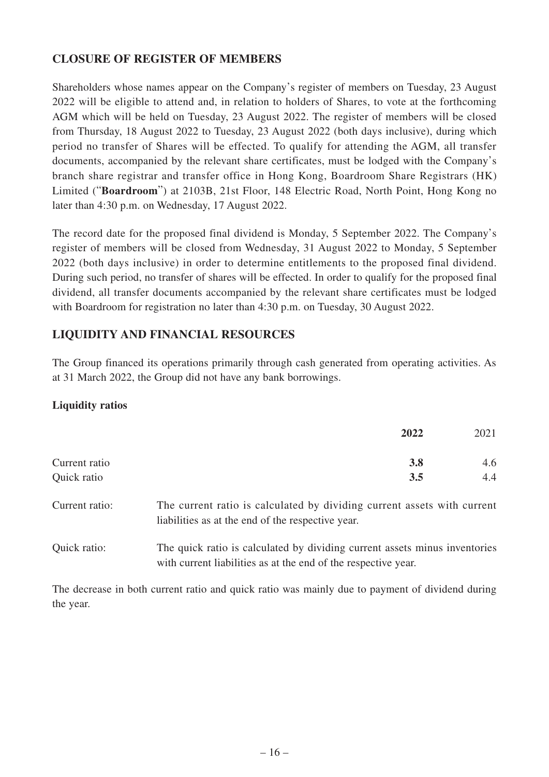# **CLOSURE OF REGISTER OF MEMBERS**

Shareholders whose names appear on the Company's register of members on Tuesday, 23 August 2022 will be eligible to attend and, in relation to holders of Shares, to vote at the forthcoming AGM which will be held on Tuesday, 23 August 2022. The register of members will be closed from Thursday, 18 August 2022 to Tuesday, 23 August 2022 (both days inclusive), during which period no transfer of Shares will be effected. To qualify for attending the AGM, all transfer documents, accompanied by the relevant share certificates, must be lodged with the Company's branch share registrar and transfer office in Hong Kong, Boardroom Share Registrars (HK) Limited ("**Boardroom**") at 2103B, 21st Floor, 148 Electric Road, North Point, Hong Kong no later than 4:30 p.m. on Wednesday, 17 August 2022.

The record date for the proposed final dividend is Monday, 5 September 2022. The Company's register of members will be closed from Wednesday, 31 August 2022 to Monday, 5 September 2022 (both days inclusive) in order to determine entitlements to the proposed final dividend. During such period, no transfer of shares will be effected. In order to qualify for the proposed final dividend, all transfer documents accompanied by the relevant share certificates must be lodged with Boardroom for registration no later than 4:30 p.m. on Tuesday, 30 August 2022.

# **LIQUIDITY AND FINANCIAL RESOURCES**

The Group financed its operations primarily through cash generated from operating activities. As at 31 March 2022, the Group did not have any bank borrowings.

### **Liquidity ratios**

|               | 2022       | 2021 |
|---------------|------------|------|
| Current ratio | <b>3.8</b> | 4.6  |
| Quick ratio   | 3.5        | 4.4  |

| Current ratio: | The current ratio is calculated by dividing current assets with current |
|----------------|-------------------------------------------------------------------------|
|                | liabilities as at the end of the respective year.                       |

Quick ratio: The quick ratio is calculated by dividing current assets minus inventories with current liabilities as at the end of the respective year.

The decrease in both current ratio and quick ratio was mainly due to payment of dividend during the year.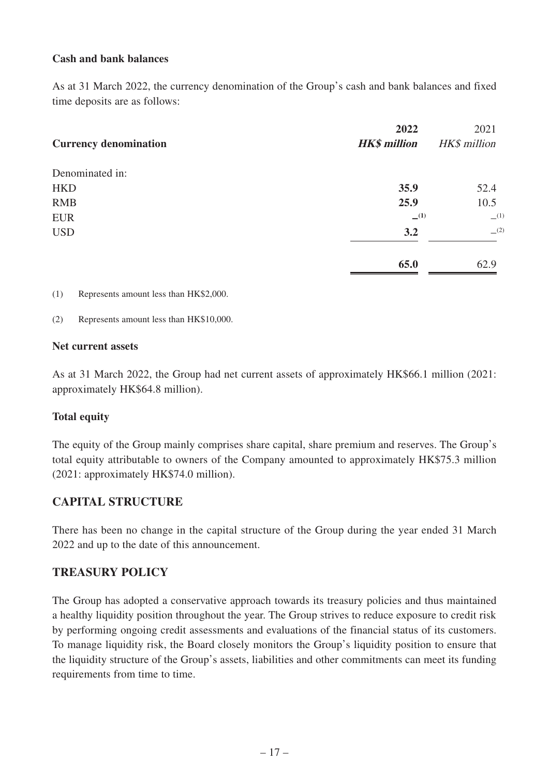### **Cash and bank balances**

As at 31 March 2022, the currency denomination of the Group's cash and bank balances and fixed time deposits are as follows:

|                              | 2022                | 2021         |
|------------------------------|---------------------|--------------|
| <b>Currency denomination</b> | <b>HK\$</b> million | HK\$ million |
| Denominated in:              |                     |              |
| <b>HKD</b>                   | 35.9                | 52.4         |
| <b>RMB</b>                   | 25.9                | 10.5         |
| <b>EUR</b>                   | $-^{(1)}$           | (1)          |
| <b>USD</b>                   | 3.2                 | (2)          |
|                              | 65.0                | 62.9         |

(1) Represents amount less than HK\$2,000.

(2) Represents amount less than HK\$10,000.

#### **Net current assets**

As at 31 March 2022, the Group had net current assets of approximately HK\$66.1 million (2021: approximately HK\$64.8 million).

### **Total equity**

The equity of the Group mainly comprises share capital, share premium and reserves. The Group's total equity attributable to owners of the Company amounted to approximately HK\$75.3 million (2021: approximately HK\$74.0 million).

### **CAPITAL STRUCTURE**

There has been no change in the capital structure of the Group during the year ended 31 March 2022 and up to the date of this announcement.

# **TREASURY POLICY**

The Group has adopted a conservative approach towards its treasury policies and thus maintained a healthy liquidity position throughout the year. The Group strives to reduce exposure to credit risk by performing ongoing credit assessments and evaluations of the financial status of its customers. To manage liquidity risk, the Board closely monitors the Group's liquidity position to ensure that the liquidity structure of the Group's assets, liabilities and other commitments can meet its funding requirements from time to time.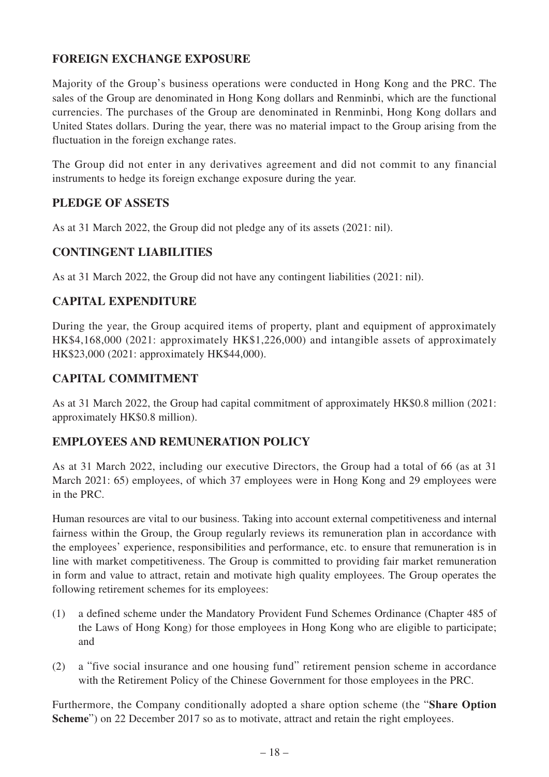# **FOREIGN EXCHANGE EXPOSURE**

Majority of the Group's business operations were conducted in Hong Kong and the PRC. The sales of the Group are denominated in Hong Kong dollars and Renminbi, which are the functional currencies. The purchases of the Group are denominated in Renminbi, Hong Kong dollars and United States dollars. During the year, there was no material impact to the Group arising from the fluctuation in the foreign exchange rates.

The Group did not enter in any derivatives agreement and did not commit to any financial instruments to hedge its foreign exchange exposure during the year.

# **PLEDGE OF ASSETS**

As at 31 March 2022, the Group did not pledge any of its assets (2021: nil).

### **CONTINGENT LIABILITIES**

As at 31 March 2022, the Group did not have any contingent liabilities (2021: nil).

# **CAPITAL EXPENDITURE**

During the year, the Group acquired items of property, plant and equipment of approximately HK\$4,168,000 (2021: approximately HK\$1,226,000) and intangible assets of approximately HK\$23,000 (2021: approximately HK\$44,000).

# **CAPITAL COMMITMENT**

As at 31 March 2022, the Group had capital commitment of approximately HK\$0.8 million (2021: approximately HK\$0.8 million).

### **EMPLOYEES AND REMUNERATION POLICY**

As at 31 March 2022, including our executive Directors, the Group had a total of 66 (as at 31 March 2021: 65) employees, of which 37 employees were in Hong Kong and 29 employees were in the PRC.

Human resources are vital to our business. Taking into account external competitiveness and internal fairness within the Group, the Group regularly reviews its remuneration plan in accordance with the employees' experience, responsibilities and performance, etc. to ensure that remuneration is in line with market competitiveness. The Group is committed to providing fair market remuneration in form and value to attract, retain and motivate high quality employees. The Group operates the following retirement schemes for its employees:

- (1) a defined scheme under the Mandatory Provident Fund Schemes Ordinance (Chapter 485 of the Laws of Hong Kong) for those employees in Hong Kong who are eligible to participate; and
- (2) a "five social insurance and one housing fund" retirement pension scheme in accordance with the Retirement Policy of the Chinese Government for those employees in the PRC.

Furthermore, the Company conditionally adopted a share option scheme (the "**Share Option**  Scheme") on 22 December 2017 so as to motivate, attract and retain the right employees.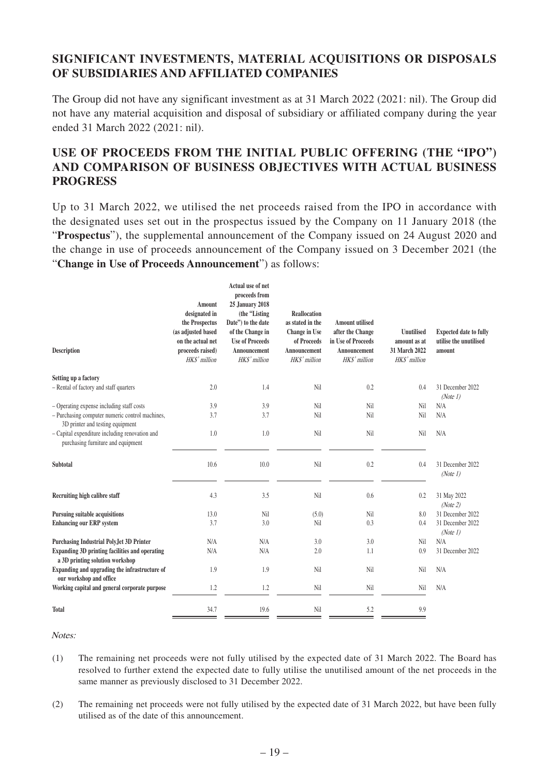# **SIGNIFICANT INVESTMENTS, MATERIAL ACQUISITIONS OR DISPOSALS OF SUBSIDIARIES AND AFFILIATED COMPANIES**

The Group did not have any significant investment as at 31 March 2022 (2021: nil). The Group did not have any material acquisition and disposal of subsidiary or affiliated company during the year ended 31 March 2022 (2021: nil).

# **USE OF PROCEEDS FROM THE INITIAL PUBLIC OFFERING (THE "IPO") AND COMPARISON OF BUSINESS OBJECTIVES WITH ACTUAL BUSINESS PROGRESS**

Up to 31 March 2022, we utilised the net proceeds raised from the IPO in accordance with the designated uses set out in the prospectus issued by the Company on 11 January 2018 (the "**Prospectus**"), the supplemental announcement of the Company issued on 24 August 2020 and the change in use of proceeds announcement of the Company issued on 3 December 2021 (the "**Change in Use of Proceeds Announcement**") as follows:

| <b>Description</b>                                                                       | Amount<br>designated in<br>the Prospectus<br>(as adjusted based<br>on the actual net<br>proceeds raised)<br>HKS' million | Actual use of net<br>proceeds from<br><b>25 January 2018</b><br>(the "Listing<br>Date") to the date<br>of the Change in<br><b>Use of Proceeds</b><br>Announcement<br>HKS' million | <b>Reallocation</b><br>as stated in the<br><b>Change in Use</b><br>of Proceeds<br>Announcement<br>HKS' million | <b>Amount utilised</b><br>after the Change<br>in Use of Proceeds<br>Announcement<br>HKS' million | <b>Unutilised</b><br>amount as at<br>31 March 2022<br>HKS' million | <b>Expected date to fully</b><br>utilise the unutilised<br>amount |
|------------------------------------------------------------------------------------------|--------------------------------------------------------------------------------------------------------------------------|-----------------------------------------------------------------------------------------------------------------------------------------------------------------------------------|----------------------------------------------------------------------------------------------------------------|--------------------------------------------------------------------------------------------------|--------------------------------------------------------------------|-------------------------------------------------------------------|
| Setting up a factory                                                                     |                                                                                                                          |                                                                                                                                                                                   |                                                                                                                |                                                                                                  |                                                                    |                                                                   |
| - Rental of factory and staff quarters                                                   | 2.0                                                                                                                      | 1.4                                                                                                                                                                               | Nil                                                                                                            | 0.2                                                                                              | 0.4                                                                | 31 December 2022<br>(Note 1)                                      |
| - Operating expense including staff costs                                                | 3.9                                                                                                                      | 3.9                                                                                                                                                                               | Nil                                                                                                            | Nil                                                                                              | Nil                                                                | N/A                                                               |
| - Purchasing computer numeric control machines,<br>3D printer and testing equipment      | 3.7                                                                                                                      | 3.7                                                                                                                                                                               | Nil                                                                                                            | Nil                                                                                              | Nil                                                                | N/A                                                               |
| - Capital expenditure including renovation and<br>purchasing furniture and equipment     | 1.0                                                                                                                      | 1.0                                                                                                                                                                               | Nil                                                                                                            | Nil                                                                                              | Nil                                                                | N/A                                                               |
| Subtotal                                                                                 | 10.6                                                                                                                     | 10.0                                                                                                                                                                              | Nil                                                                                                            | 0.2                                                                                              | 0.4                                                                | 31 December 2022<br>(Note 1)                                      |
| Recruiting high calibre staff                                                            | 4.3                                                                                                                      | 3.5                                                                                                                                                                               | Nil                                                                                                            | 0.6                                                                                              | 0.2                                                                | 31 May 2022<br>(Note 2)                                           |
| <b>Pursuing suitable acquisitions</b>                                                    | 13.0                                                                                                                     | Nil                                                                                                                                                                               | (5.0)                                                                                                          | Nil                                                                                              | 8.0                                                                | 31 December 2022                                                  |
| <b>Enhancing our ERP system</b>                                                          | 3.7                                                                                                                      | 3.0                                                                                                                                                                               | Nil                                                                                                            | 0.3                                                                                              | 0.4                                                                | 31 December 2022<br>(Note 1)                                      |
| <b>Purchasing Industrial PolyJet 3D Printer</b>                                          | N/A                                                                                                                      | N/A                                                                                                                                                                               | 3.0                                                                                                            | 3.0                                                                                              | Nil                                                                | N/A                                                               |
| <b>Expanding 3D printing facilities and operating</b><br>a 3D printing solution workshop | N/A                                                                                                                      | N/A                                                                                                                                                                               | 2.0                                                                                                            | 1.1                                                                                              | 0.9                                                                | 31 December 2022                                                  |
| Expanding and upgrading the infrastructure of<br>our workshop and office                 | 1.9                                                                                                                      | 1.9                                                                                                                                                                               | Nil                                                                                                            | Nil                                                                                              | Nil                                                                | N/A                                                               |
| Working capital and general corporate purpose                                            | 1.2                                                                                                                      | 1.2                                                                                                                                                                               | Nil                                                                                                            | Nil                                                                                              | Nil                                                                | N/A                                                               |
| <b>Total</b>                                                                             | 34.7                                                                                                                     | 19.6                                                                                                                                                                              | Nil                                                                                                            | 5.2                                                                                              | 9.9                                                                |                                                                   |

Notes:

- (1) The remaining net proceeds were not fully utilised by the expected date of 31 March 2022. The Board has resolved to further extend the expected date to fully utilise the unutilised amount of the net proceeds in the same manner as previously disclosed to 31 December 2022.
- (2) The remaining net proceeds were not fully utilised by the expected date of 31 March 2022, but have been fully utilised as of the date of this announcement.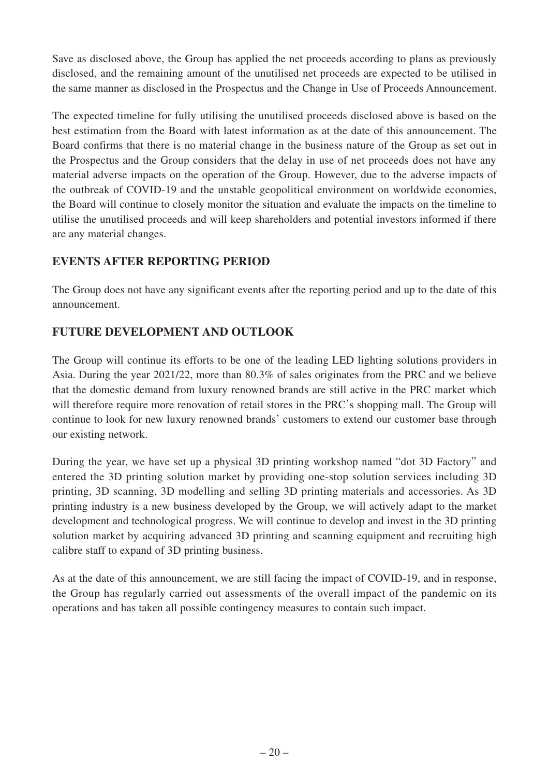Save as disclosed above, the Group has applied the net proceeds according to plans as previously disclosed, and the remaining amount of the unutilised net proceeds are expected to be utilised in the same manner as disclosed in the Prospectus and the Change in Use of Proceeds Announcement.

The expected timeline for fully utilising the unutilised proceeds disclosed above is based on the best estimation from the Board with latest information as at the date of this announcement. The Board confirms that there is no material change in the business nature of the Group as set out in the Prospectus and the Group considers that the delay in use of net proceeds does not have any material adverse impacts on the operation of the Group. However, due to the adverse impacts of the outbreak of COVID-19 and the unstable geopolitical environment on worldwide economies, the Board will continue to closely monitor the situation and evaluate the impacts on the timeline to utilise the unutilised proceeds and will keep shareholders and potential investors informed if there are any material changes.

# **EVENTS AFTER REPORTING PERIOD**

The Group does not have any significant events after the reporting period and up to the date of this announcement.

# **FUTURE DEVELOPMENT AND OUTLOOK**

The Group will continue its efforts to be one of the leading LED lighting solutions providers in Asia. During the year 2021/22, more than 80.3% of sales originates from the PRC and we believe that the domestic demand from luxury renowned brands are still active in the PRC market which will therefore require more renovation of retail stores in the PRC's shopping mall. The Group will continue to look for new luxury renowned brands' customers to extend our customer base through our existing network.

During the year, we have set up a physical 3D printing workshop named "dot 3D Factory" and entered the 3D printing solution market by providing one-stop solution services including 3D printing, 3D scanning, 3D modelling and selling 3D printing materials and accessories. As 3D printing industry is a new business developed by the Group, we will actively adapt to the market development and technological progress. We will continue to develop and invest in the 3D printing solution market by acquiring advanced 3D printing and scanning equipment and recruiting high calibre staff to expand of 3D printing business.

As at the date of this announcement, we are still facing the impact of COVID-19, and in response, the Group has regularly carried out assessments of the overall impact of the pandemic on its operations and has taken all possible contingency measures to contain such impact.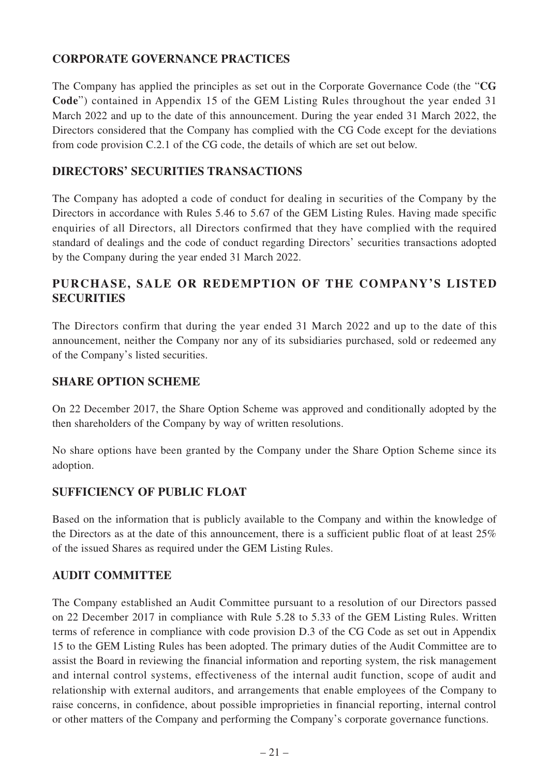# **CORPORATE GOVERNANCE PRACTICES**

The Company has applied the principles as set out in the Corporate Governance Code (the "**CG Code**") contained in Appendix 15 of the GEM Listing Rules throughout the year ended 31 March 2022 and up to the date of this announcement. During the year ended 31 March 2022, the Directors considered that the Company has complied with the CG Code except for the deviations from code provision C.2.1 of the CG code, the details of which are set out below.

# **DIRECTORS' SECURITIES TRANSACTIONS**

The Company has adopted a code of conduct for dealing in securities of the Company by the Directors in accordance with Rules 5.46 to 5.67 of the GEM Listing Rules. Having made specific enquiries of all Directors, all Directors confirmed that they have complied with the required standard of dealings and the code of conduct regarding Directors' securities transactions adopted by the Company during the year ended 31 March 2022.

# **PURCHASE, SALE OR REDEMPTION OF THE COMPANY'S LISTED SECURITIES**

The Directors confirm that during the year ended 31 March 2022 and up to the date of this announcement, neither the Company nor any of its subsidiaries purchased, sold or redeemed any of the Company's listed securities.

### **SHARE OPTION SCHEME**

On 22 December 2017, the Share Option Scheme was approved and conditionally adopted by the then shareholders of the Company by way of written resolutions.

No share options have been granted by the Company under the Share Option Scheme since its adoption.

## **SUFFICIENCY OF PUBLIC FLOAT**

Based on the information that is publicly available to the Company and within the knowledge of the Directors as at the date of this announcement, there is a sufficient public float of at least 25% of the issued Shares as required under the GEM Listing Rules.

# **AUDIT COMMITTEE**

The Company established an Audit Committee pursuant to a resolution of our Directors passed on 22 December 2017 in compliance with Rule 5.28 to 5.33 of the GEM Listing Rules. Written terms of reference in compliance with code provision D.3 of the CG Code as set out in Appendix 15 to the GEM Listing Rules has been adopted. The primary duties of the Audit Committee are to assist the Board in reviewing the financial information and reporting system, the risk management and internal control systems, effectiveness of the internal audit function, scope of audit and relationship with external auditors, and arrangements that enable employees of the Company to raise concerns, in confidence, about possible improprieties in financial reporting, internal control or other matters of the Company and performing the Company's corporate governance functions.